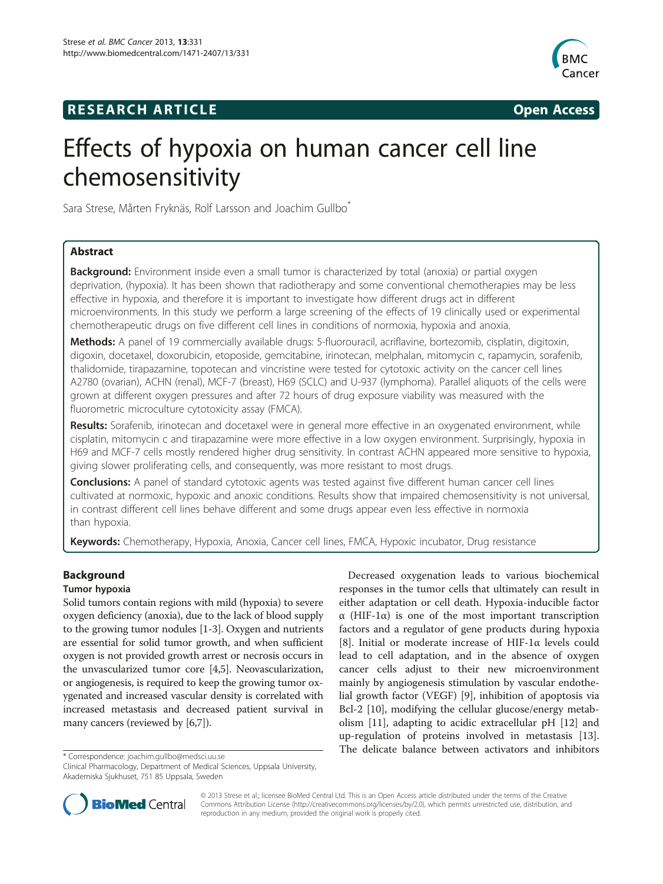# **RESEARCH ARTICLE Example 2014 CONSIDERING CONSIDERING CONSIDERING CONSIDERING CONSIDERING CONSIDERING CONSIDERING CONSIDERING CONSIDERING CONSIDERING CONSIDERING CONSIDERING CONSIDERING CONSIDERING CONSIDERING CONSIDE**



# Effects of hypoxia on human cancer cell line chemosensitivity

Sara Strese, Mårten Fryknäs, Rolf Larsson and Joachim Gullbo<sup>®</sup>

# Abstract

**Background:** Environment inside even a small tumor is characterized by total (anoxia) or partial oxygen deprivation, (hypoxia). It has been shown that radiotherapy and some conventional chemotherapies may be less effective in hypoxia, and therefore it is important to investigate how different drugs act in different microenvironments. In this study we perform a large screening of the effects of 19 clinically used or experimental chemotherapeutic drugs on five different cell lines in conditions of normoxia, hypoxia and anoxia.

Methods: A panel of 19 commercially available drugs: 5-fluorouracil, acriflavine, bortezomib, cisplatin, digitoxin, digoxin, docetaxel, doxorubicin, etoposide, gemcitabine, irinotecan, melphalan, mitomycin c, rapamycin, sorafenib, thalidomide, tirapazamine, topotecan and vincristine were tested for cytotoxic activity on the cancer cell lines A2780 (ovarian), ACHN (renal), MCF-7 (breast), H69 (SCLC) and U-937 (lymphoma). Parallel aliquots of the cells were grown at different oxygen pressures and after 72 hours of drug exposure viability was measured with the fluorometric microculture cytotoxicity assay (FMCA).

Results: Sorafenib, irinotecan and docetaxel were in general more effective in an oxygenated environment, while cisplatin, mitomycin c and tirapazamine were more effective in a low oxygen environment. Surprisingly, hypoxia in H69 and MCF-7 cells mostly rendered higher drug sensitivity. In contrast ACHN appeared more sensitive to hypoxia, giving slower proliferating cells, and consequently, was more resistant to most drugs.

**Conclusions:** A panel of standard cytotoxic agents was tested against five different human cancer cell lines cultivated at normoxic, hypoxic and anoxic conditions. Results show that impaired chemosensitivity is not universal, in contrast different cell lines behave different and some drugs appear even less effective in normoxia than hypoxia.

**Keywords:** Chemotherapy, Hypoxia, Anoxia, Cancer cell lines, FMCA, Hypoxic incubator, Drug resistance

# Background

#### Tumor hypoxia

Solid tumors contain regions with mild (hypoxia) to severe oxygen deficiency (anoxia), due to the lack of blood supply to the growing tumor nodules [\[1](#page-8-0)-[3\]](#page-8-0). Oxygen and nutrients are essential for solid tumor growth, and when sufficient oxygen is not provided growth arrest or necrosis occurs in the unvascularized tumor core [\[4,5\]](#page-8-0). Neovascularization, or angiogenesis, is required to keep the growing tumor oxygenated and increased vascular density is correlated with increased metastasis and decreased patient survival in many cancers (reviewed by [\[6,7\]](#page-8-0)).

\* Correspondence: [joachim.gullbo@medsci.uu.se](mailto:joachim.gullbo@medsci.uu.se)

Clinical Pharmacology, Department of Medical Sciences, Uppsala University, Akademiska Sjukhuset, 751 85 Uppsala, Sweden

Decreased oxygenation leads to various biochemical responses in the tumor cells that ultimately can result in either adaptation or cell death. Hypoxia-inducible factor α (HIF-1α) is one of the most important transcription factors and a regulator of gene products during hypoxia [[8\]](#page-8-0). Initial or moderate increase of HIF-1α levels could lead to cell adaptation, and in the absence of oxygen cancer cells adjust to their new microenvironment mainly by angiogenesis stimulation by vascular endothelial growth factor (VEGF) [\[9](#page-8-0)], inhibition of apoptosis via Bcl-2 [[10\]](#page-8-0), modifying the cellular glucose/energy metabolism [\[11\]](#page-8-0), adapting to acidic extracellular pH [[12](#page-8-0)] and up-regulation of proteins involved in metastasis [\[13](#page-8-0)]. The delicate balance between activators and inhibitors



© 2013 Strese et al.; licensee BioMed Central Ltd. This is an Open Access article distributed under the terms of the Creative Commons Attribution License [\(http://creativecommons.org/licenses/by/2.0\)](http://creativecommons.org/licenses/by/2.0), which permits unrestricted use, distribution, and reproduction in any medium, provided the original work is properly cited.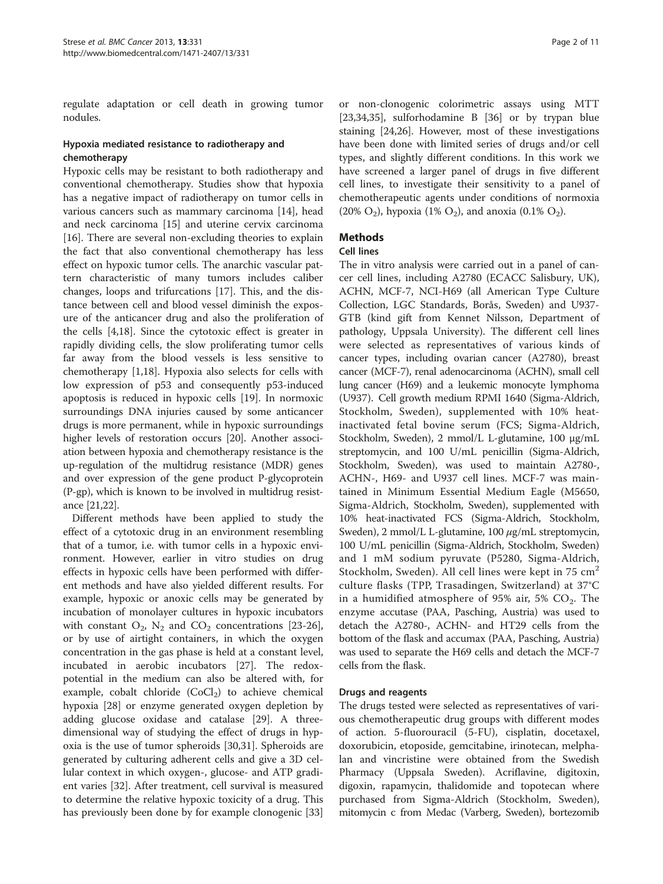regulate adaptation or cell death in growing tumor nodules.

### Hypoxia mediated resistance to radiotherapy and chemotherapy

Hypoxic cells may be resistant to both radiotherapy and conventional chemotherapy. Studies show that hypoxia has a negative impact of radiotherapy on tumor cells in various cancers such as mammary carcinoma [\[14](#page-8-0)], head and neck carcinoma [\[15](#page-8-0)] and uterine cervix carcinoma [[16\]](#page-8-0). There are several non-excluding theories to explain the fact that also conventional chemotherapy has less effect on hypoxic tumor cells. The anarchic vascular pattern characteristic of many tumors includes caliber changes, loops and trifurcations [[17](#page-8-0)]. This, and the distance between cell and blood vessel diminish the exposure of the anticancer drug and also the proliferation of the cells [[4,](#page-8-0)[18\]](#page-9-0). Since the cytotoxic effect is greater in rapidly dividing cells, the slow proliferating tumor cells far away from the blood vessels is less sensitive to chemotherapy [[1,](#page-8-0)[18\]](#page-9-0). Hypoxia also selects for cells with low expression of p53 and consequently p53-induced apoptosis is reduced in hypoxic cells [\[19](#page-9-0)]. In normoxic surroundings DNA injuries caused by some anticancer drugs is more permanent, while in hypoxic surroundings higher levels of restoration occurs [\[20](#page-9-0)]. Another association between hypoxia and chemotherapy resistance is the up-regulation of the multidrug resistance (MDR) genes and over expression of the gene product P-glycoprotein (P-gp), which is known to be involved in multidrug resistance [[21,22\]](#page-9-0).

Different methods have been applied to study the effect of a cytotoxic drug in an environment resembling that of a tumor, i.e. with tumor cells in a hypoxic environment. However, earlier in vitro studies on drug effects in hypoxic cells have been performed with different methods and have also yielded different results. For example, hypoxic or anoxic cells may be generated by incubation of monolayer cultures in hypoxic incubators with constant  $O_2$ ,  $N_2$  and  $CO_2$  concentrations [\[23-26](#page-9-0)], or by use of airtight containers, in which the oxygen concentration in the gas phase is held at a constant level, incubated in aerobic incubators [\[27\]](#page-9-0). The redoxpotential in the medium can also be altered with, for example, cobalt chloride  $(CoCl<sub>2</sub>)$  to achieve chemical hypoxia [[28\]](#page-9-0) or enzyme generated oxygen depletion by adding glucose oxidase and catalase [[29\]](#page-9-0). A threedimensional way of studying the effect of drugs in hypoxia is the use of tumor spheroids [\[30,31](#page-9-0)]. Spheroids are generated by culturing adherent cells and give a 3D cellular context in which oxygen-, glucose- and ATP gradient varies [\[32](#page-9-0)]. After treatment, cell survival is measured to determine the relative hypoxic toxicity of a drug. This has previously been done by for example clonogenic [[33](#page-9-0)]

or non-clonogenic colorimetric assays using MTT [[23,34,35\]](#page-9-0), sulforhodamine B [[36](#page-9-0)] or by trypan blue staining [[24,26](#page-9-0)]. However, most of these investigations have been done with limited series of drugs and/or cell types, and slightly different conditions. In this work we have screened a larger panel of drugs in five different cell lines, to investigate their sensitivity to a panel of chemotherapeutic agents under conditions of normoxia (20% O<sub>2</sub>), hypoxia (1% O<sub>2</sub>), and anoxia (0.1% O<sub>2</sub>).

# Methods

# Cell lines

The in vitro analysis were carried out in a panel of cancer cell lines, including A2780 (ECACC Salisbury, UK), ACHN, MCF-7, NCI-H69 (all American Type Culture Collection, LGC Standards, Borås, Sweden) and U937- GTB (kind gift from Kennet Nilsson, Department of pathology, Uppsala University). The different cell lines were selected as representatives of various kinds of cancer types, including ovarian cancer (A2780), breast cancer (MCF-7), renal adenocarcinoma (ACHN), small cell lung cancer (H69) and a leukemic monocyte lymphoma (U937). Cell growth medium RPMI 1640 (Sigma-Aldrich, Stockholm, Sweden), supplemented with 10% heatinactivated fetal bovine serum (FCS; Sigma-Aldrich, Stockholm, Sweden), 2 mmol/L L-glutamine, 100 μg/mL streptomycin, and 100 U/mL penicillin (Sigma-Aldrich, Stockholm, Sweden), was used to maintain A2780-, ACHN-, H69- and U937 cell lines. MCF-7 was maintained in Minimum Essential Medium Eagle (M5650, Sigma-Aldrich, Stockholm, Sweden), supplemented with 10% heat-inactivated FCS (Sigma-Aldrich, Stockholm, Sweden), 2 mmol/L L-glutamine,  $100 \mu$ g/mL streptomycin, 100 U/mL penicillin (Sigma-Aldrich, Stockholm, Sweden) and 1 mM sodium pyruvate (P5280, Sigma-Aldrich, Stockholm, Sweden). All cell lines were kept in  $75 \text{ cm}^2$ culture flasks (TPP, Trasadingen, Switzerland) at 37°C in a humidified atmosphere of 95% air, 5%  $CO<sub>2</sub>$ . The enzyme accutase (PAA, Pasching, Austria) was used to detach the A2780-, ACHN- and HT29 cells from the bottom of the flask and accumax (PAA, Pasching, Austria) was used to separate the H69 cells and detach the MCF-7 cells from the flask.

# Drugs and reagents

The drugs tested were selected as representatives of various chemotherapeutic drug groups with different modes of action. 5-fluorouracil (5-FU), cisplatin, docetaxel, doxorubicin, etoposide, gemcitabine, irinotecan, melphalan and vincristine were obtained from the Swedish Pharmacy (Uppsala Sweden). Acriflavine, digitoxin, digoxin, rapamycin, thalidomide and topotecan where purchased from Sigma-Aldrich (Stockholm, Sweden), mitomycin c from Medac (Varberg, Sweden), bortezomib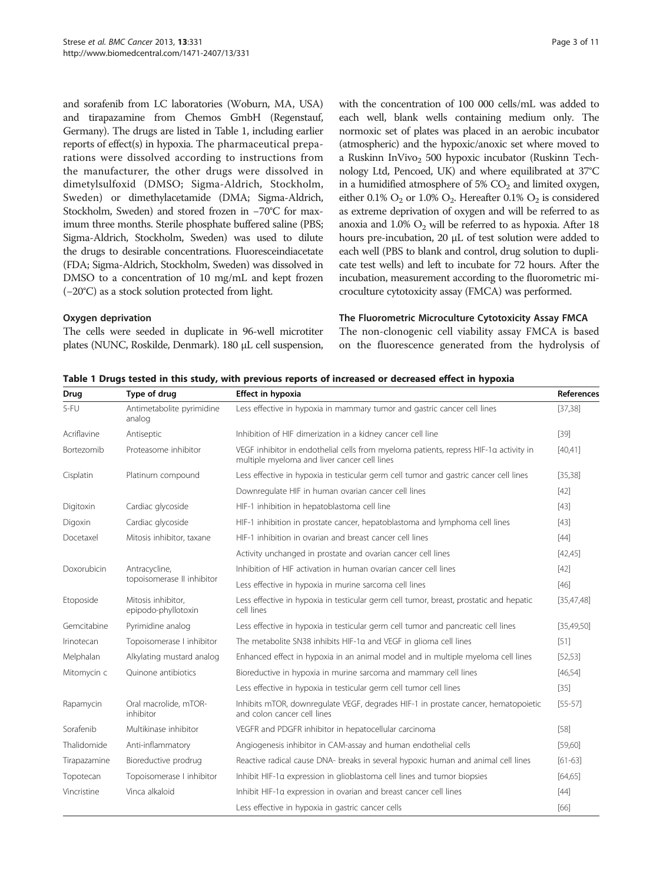and sorafenib from LC laboratories (Woburn, MA, USA) and tirapazamine from Chemos GmbH (Regenstauf, Germany). The drugs are listed in Table 1, including earlier reports of effect(s) in hypoxia. The pharmaceutical preparations were dissolved according to instructions from the manufacturer, the other drugs were dissolved in dimetylsulfoxid (DMSO; Sigma-Aldrich, Stockholm, Sweden) or dimethylacetamide (DMA; Sigma-Aldrich, Stockholm, Sweden) and stored frozen in −70°C for maximum three months. Sterile phosphate buffered saline (PBS; Sigma-Aldrich, Stockholm, Sweden) was used to dilute the drugs to desirable concentrations. Fluoresceindiacetate (FDA; Sigma-Aldrich, Stockholm, Sweden) was dissolved in DMSO to a concentration of 10 mg/mL and kept frozen (−20°C) as a stock solution protected from light.

#### Oxygen deprivation

The cells were seeded in duplicate in 96-well microtiter plates (NUNC, Roskilde, Denmark). 180 μL cell suspension, with the concentration of 100 000 cells/mL was added to each well, blank wells containing medium only. The normoxic set of plates was placed in an aerobic incubator (atmospheric) and the hypoxic/anoxic set where moved to a Ruskinn InVivo<sub>2</sub> 500 hypoxic incubator (Ruskinn Technology Ltd, Pencoed, UK) and where equilibrated at 37°C in a humidified atmosphere of  $5\%$  CO<sub>2</sub> and limited oxygen, either 0.1%  $O_2$  or 1.0%  $O_2$ . Hereafter 0.1%  $O_2$  is considered as extreme deprivation of oxygen and will be referred to as anoxia and  $1.0\%$   $O_2$  will be referred to as hypoxia. After 18 hours pre-incubation, 20 μL of test solution were added to each well (PBS to blank and control, drug solution to duplicate test wells) and left to incubate for 72 hours. After the incubation, measurement according to the fluorometric microculture cytotoxicity assay (FMCA) was performed.

#### The Fluorometric Microculture Cytotoxicity Assay FMCA

The non-clonogenic cell viability assay FMCA is based on the fluorescence generated from the hydrolysis of

#### Table 1 Drugs tested in this study, with previous reports of increased or decreased effect in hypoxia

| Drug         | Type of drug                              | <b>Effect in hypoxia</b>                                                                                                              | <b>References</b> |
|--------------|-------------------------------------------|---------------------------------------------------------------------------------------------------------------------------------------|-------------------|
| $5-FU$       | Antimetabolite pyrimidine<br>analog       | Less effective in hypoxia in mammary tumor and gastric cancer cell lines                                                              | [37, 38]          |
| Acriflavine  | Antiseptic                                | Inhibition of HIF dimerization in a kidney cancer cell line                                                                           | $[39]$            |
| Bortezomib   | Proteasome inhibitor                      | VEGF inhibitor in endothelial cells from myeloma patients, repress HIF-1a activity in<br>multiple myeloma and liver cancer cell lines | [40, 41]          |
| Cisplatin    | Platinum compound                         | Less effective in hypoxia in testicular germ cell tumor and gastric cancer cell lines                                                 | [35, 38]          |
|              |                                           | Downregulate HIF in human ovarian cancer cell lines                                                                                   | $[42]$            |
| Digitoxin    | Cardiac glycoside                         | HIF-1 inhibition in hepatoblastoma cell line                                                                                          | $[43]$            |
| Digoxin      | Cardiac glycoside                         | HIF-1 inhibition in prostate cancer, hepatoblastoma and lymphoma cell lines                                                           | $[43]$            |
| Docetaxel    | Mitosis inhibitor, taxane                 | HIF-1 inhibition in ovarian and breast cancer cell lines                                                                              | $[44]$            |
|              |                                           | Activity unchanged in prostate and ovarian cancer cell lines                                                                          | [42, 45]          |
| Doxorubicin  | Antracycline,                             | Inhibition of HIF activation in human ovarian cancer cell lines                                                                       | $[42]$            |
|              | topoisomerase II inhibitor                | Less effective in hypoxia in murine sarcoma cell lines                                                                                | $[46]$            |
| Etoposide    | Mitosis inhibitor,<br>epipodo-phyllotoxin | Less effective in hypoxia in testicular germ cell tumor, breast, prostatic and hepatic<br>cell lines                                  | [35,47,48]        |
| Gemcitabine  | Pyrimidine analog                         | Less effective in hypoxia in testicular germ cell tumor and pancreatic cell lines                                                     | [35,49,50]        |
| Irinotecan   | Topoisomerase I inhibitor                 | The metabolite SN38 inhibits HIF-1a and VEGF in glioma cell lines                                                                     | [51]              |
| Melphalan    | Alkylating mustard analog                 | Enhanced effect in hypoxia in an animal model and in multiple myeloma cell lines                                                      | [52, 53]          |
| Mitomycin c  | Quinone antibiotics                       | Bioreductive in hypoxia in murine sarcoma and mammary cell lines                                                                      | [46, 54]          |
|              |                                           | Less effective in hypoxia in testicular germ cell tumor cell lines                                                                    | $[35]$            |
| Rapamycin    | Oral macrolide, mTOR-<br>inhibitor        | Inhibits mTOR, downregulate VEGF, degrades HIF-1 in prostate cancer, hematopoietic<br>and colon cancer cell lines                     | $[55-57]$         |
| Sorafenib    | Multikinase inhibitor                     | VEGFR and PDGFR inhibitor in hepatocellular carcinoma                                                                                 | $[58]$            |
| Thalidomide  | Anti-inflammatory                         | Angiogenesis inhibitor in CAM-assay and human endothelial cells                                                                       | [59,60]           |
| Tirapazamine | Bioreductive prodrug                      | Reactive radical cause DNA- breaks in several hypoxic human and animal cell lines                                                     | $[61-63]$         |
| Topotecan    | Topoisomerase I inhibitor                 | Inhibit HIF-1a expression in glioblastoma cell lines and tumor biopsies                                                               | [64, 65]          |
| Vincristine  | Vinca alkaloid                            | Inhibit HIF-1a expression in ovarian and breast cancer cell lines                                                                     | $[44]$            |
|              |                                           | Less effective in hypoxia in gastric cancer cells                                                                                     | [66]              |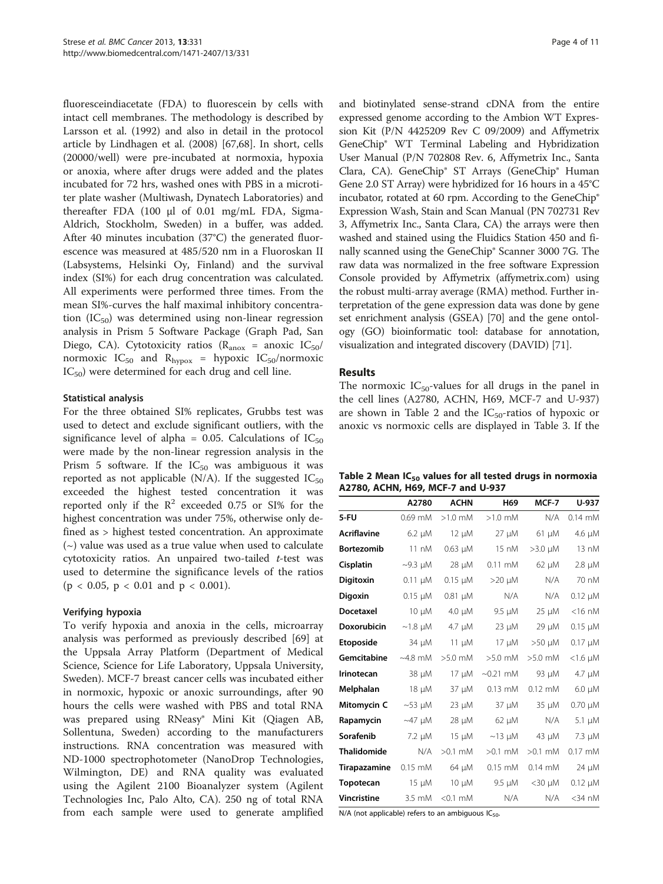fluoresceindiacetate (FDA) to fluorescein by cells with intact cell membranes. The methodology is described by Larsson et al. (1992) and also in detail in the protocol article by Lindhagen et al. (2008) [[67](#page-10-0),[68](#page-10-0)]. In short, cells (20000/well) were pre-incubated at normoxia, hypoxia or anoxia, where after drugs were added and the plates incubated for 72 hrs, washed ones with PBS in a microtiter plate washer (Multiwash, Dynatech Laboratories) and thereafter FDA (100 μl of 0.01 mg/mL FDA, Sigma-Aldrich, Stockholm, Sweden) in a buffer, was added. After 40 minutes incubation (37°C) the generated fluorescence was measured at 485/520 nm in a Fluoroskan II (Labsystems, Helsinki Oy, Finland) and the survival index (SI%) for each drug concentration was calculated. All experiments were performed three times. From the mean SI%-curves the half maximal inhibitory concentration  $(IC_{50})$  was determined using non-linear regression analysis in Prism 5 Software Package (Graph Pad, San Diego, CA). Cytotoxicity ratios ( $R_{anox}$  = anoxic  $IC_{50}/$ normoxic  $IC_{50}$  and  $R_{\text{hvox}}$  = hypoxic  $IC_{50}/\text{normoxic}$  $IC_{50}$ ) were determined for each drug and cell line.

#### Statistical analysis

For the three obtained SI% replicates, Grubbs test was used to detect and exclude significant outliers, with the significance level of alpha = 0.05. Calculations of  $IC_{50}$ were made by the non-linear regression analysis in the Prism 5 software. If the  $IC_{50}$  was ambiguous it was reported as not applicable (N/A). If the suggested  $IC_{50}$ exceeded the highest tested concentration it was reported only if the  $\mathbb{R}^2$  exceeded 0.75 or SI% for the highest concentration was under 75%, otherwise only defined as > highest tested concentration. An approximate  $(\sim)$  value was used as a true value when used to calculate cytotoxicity ratios. An unpaired two-tailed t-test was used to determine the significance levels of the ratios  $(p < 0.05, p < 0.01 \text{ and } p < 0.001).$ 

#### Verifying hypoxia

To verify hypoxia and anoxia in the cells, microarray analysis was performed as previously described [\[69](#page-10-0)] at the Uppsala Array Platform (Department of Medical Science, Science for Life Laboratory, Uppsala University, Sweden). MCF-7 breast cancer cells was incubated either in normoxic, hypoxic or anoxic surroundings, after 90 hours the cells were washed with PBS and total RNA was prepared using RNeasy® Mini Kit (Qiagen AB, Sollentuna, Sweden) according to the manufacturers instructions. RNA concentration was measured with ND-1000 spectrophotometer (NanoDrop Technologies, Wilmington, DE) and RNA quality was evaluated using the Agilent 2100 Bioanalyzer system (Agilent Technologies Inc, Palo Alto, CA). 250 ng of total RNA from each sample were used to generate amplified and biotinylated sense-strand cDNA from the entire expressed genome according to the Ambion WT Expression Kit (P/N 4425209 Rev C 09/2009) and Affymetrix GeneChip® WT Terminal Labeling and Hybridization User Manual (P/N 702808 Rev. 6, Affymetrix Inc., Santa Clara, CA). GeneChip® ST Arrays (GeneChip® Human Gene 2.0 ST Array) were hybridized for 16 hours in a 45°C incubator, rotated at 60 rpm. According to the GeneChip® Expression Wash, Stain and Scan Manual (PN 702731 Rev 3, Affymetrix Inc., Santa Clara, CA) the arrays were then washed and stained using the Fluidics Station 450 and finally scanned using the GeneChip® Scanner 3000 7G. The raw data was normalized in the free software Expression Console provided by Affymetrix (affymetrix.com) using the robust multi-array average (RMA) method. Further interpretation of the gene expression data was done by gene set enrichment analysis (GSEA) [[70](#page-10-0)] and the gene ontology (GO) bioinformatic tool: database for annotation, visualization and integrated discovery (DAVID) [\[71\]](#page-10-0).

# Results

The normoxic  $IC_{50}$ -values for all drugs in the panel in the cell lines (A2780, ACHN, H69, MCF-7 and U-937) are shown in Table 2 and the  $IC_{50}$ -ratios of hypoxic or anoxic vs normoxic cells are displayed in Table [3](#page-4-0). If the

|  |  |                                   | Table 2 Mean $IC_{50}$ values for all tested drugs in normoxia |
|--|--|-----------------------------------|----------------------------------------------------------------|
|  |  | A2780, ACHN, H69, MCF-7 and U-937 |                                                                |

|                    | A2780          | <b>ACHN</b>  | H69            | MCF-7          | U-937           |
|--------------------|----------------|--------------|----------------|----------------|-----------------|
| 5-FU               | $0.69$ mM      | $>1.0$ mM    | $>1.0$ mM      | N/A            | $0.14$ mM       |
| <b>Acriflavine</b> | $6.2 \mu M$    | $12 \mu M$   | $27 \mu M$     | 61 µM          | 4.6 µM          |
| <b>Bortezomib</b>  | 11 nM          | $0.63 \mu M$ | 15 nM          | $>3.0 \mu M$   | 13 nM           |
| Cisplatin          | $\sim$ 9.3 µM  | 28 µM        | $0.11$ mM      | 62 µM          | 2.8 µM          |
| Digitoxin          | $0.11 \mu M$   | $0.15 \mu M$ | $>$ 20 $\mu$ M | N/A            | 70 nM           |
| Digoxin            | $0.15 \mu M$   | $0.81 \mu M$ | N/A            | N/A            | $0.12 \mu M$    |
| Docetaxel          | $10 \mu M$     | $4.0 \mu M$  | 9.5 µM         | $25 \mu M$     | $<$ 16 nM       |
| Doxorubicin        | $\sim$ 1.8 µM  | 4.7 µM       | $23 \mu M$     | 29 µM          | $0.15 \mu M$    |
| Etoposide          | 34 µM          | 11 $\mu$ M   | 17 µM          | >50 µM         | $0.17 \mu M$    |
| Gemcitabine        | $~\sim$ 4.8 mM | $>5.0$ mM    | $>5.0$ mM      | $>5.0$ mM      | $<$ 1.6 $\mu$ M |
| <b>Irinotecan</b>  | 38 µM          | 17 µM        | $\sim$ 0.21 mM | 93 µM          | $4.7 \mu M$     |
| Melphalan          | 18 μM          | 37 µM        | $0.13$ mM      | 0.12 mM        | $6.0 \mu M$     |
| Mitomycin C        | $\sim$ 53 µM   | $23 \mu M$   | 37 µM          | 35 µM          | 0.70 µM         |
| Rapamycin          | $~\sim$ 47 µM  | 28 µM        | 62 µM          | N/A            | 5.1 $\mu$ M     |
| Sorafenib          | 7.2 µM         | $15 \mu M$   | $\sim$ 13 µM   | $43 \mu M$     | $7.3 \mu M$     |
| <b>Thalidomide</b> | N/A            | $>0.1$ mM    | >0.1 mM        | $>0.1$ mM      | $0.17$ mM       |
| Tirapazamine       | $0.15$ mM      | 64 µM        | $0.15$ mM      | $0.14$ mM      | 24 µM           |
| Topotecan          | $15 \mu M$     | $10 \mu M$   | 9.5 µM         | $<$ 30 $\mu$ M | $0.12 \mu M$    |
| Vincristine        | 3.5 mM         | $<$ 0.1 mM   | N/A            | N/A            | $<$ 34 nM       |

N/A (not applicable) refers to an ambiguous  $IC_{50}$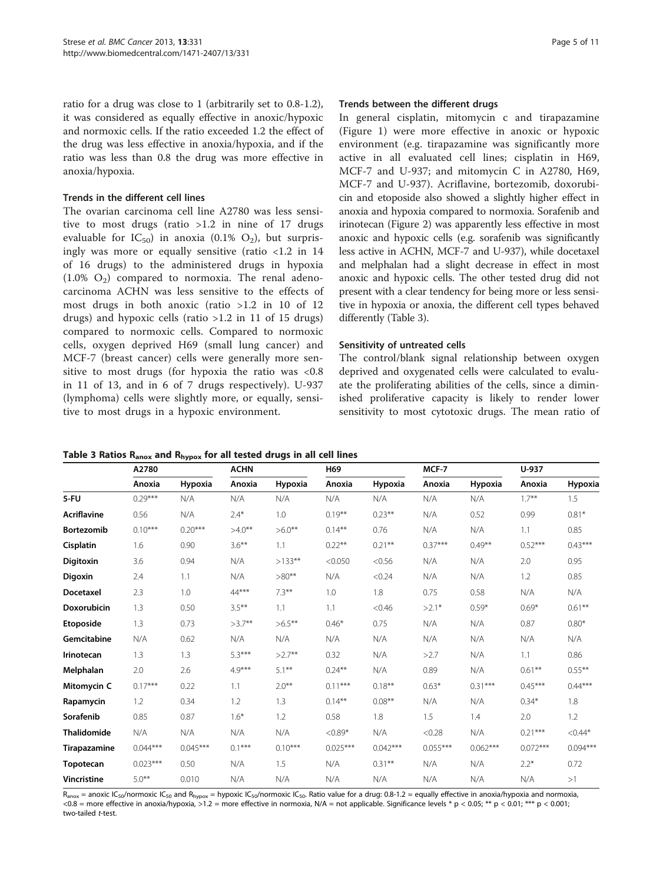<span id="page-4-0"></span>ratio for a drug was close to 1 (arbitrarily set to 0.8-1.2), it was considered as equally effective in anoxic/hypoxic and normoxic cells. If the ratio exceeded 1.2 the effect of the drug was less effective in anoxia/hypoxia, and if the ratio was less than 0.8 the drug was more effective in anoxia/hypoxia.

#### Trends in the different cell lines

The ovarian carcinoma cell line A2780 was less sensitive to most drugs (ratio >1.2 in nine of 17 drugs evaluable for  $IC_{50}$  in anoxia (0.1%  $O_2$ ), but surprisingly was more or equally sensitive (ratio  $< 1.2$  in 14 of 16 drugs) to the administered drugs in hypoxia  $(1.0\% \text{ O}_2)$  compared to normoxia. The renal adenocarcinoma ACHN was less sensitive to the effects of most drugs in both anoxic (ratio >1.2 in 10 of 12 drugs) and hypoxic cells (ratio >1.2 in 11 of 15 drugs) compared to normoxic cells. Compared to normoxic cells, oxygen deprived H69 (small lung cancer) and MCF-7 (breast cancer) cells were generally more sensitive to most drugs (for hypoxia the ratio was <0.8 in 11 of 13, and in 6 of 7 drugs respectively). U-937 (lymphoma) cells were slightly more, or equally, sensitive to most drugs in a hypoxic environment.

#### Trends between the different drugs

In general cisplatin, mitomycin c and tirapazamine (Figure [1\)](#page-5-0) were more effective in anoxic or hypoxic environment (e.g. tirapazamine was significantly more active in all evaluated cell lines; cisplatin in H69, MCF-7 and U-937; and mitomycin C in A2780, H69, MCF-7 and U-937). Acriflavine, bortezomib, doxorubicin and etoposide also showed a slightly higher effect in anoxia and hypoxia compared to normoxia. Sorafenib and irinotecan (Figure [2\)](#page-6-0) was apparently less effective in most anoxic and hypoxic cells (e.g. sorafenib was significantly less active in ACHN, MCF-7 and U-937), while docetaxel and melphalan had a slight decrease in effect in most anoxic and hypoxic cells. The other tested drug did not present with a clear tendency for being more or less sensitive in hypoxia or anoxia, the different cell types behaved differently (Table 3).

#### Sensitivity of untreated cells

The control/blank signal relationship between oxygen deprived and oxygenated cells were calculated to evaluate the proliferating abilities of the cells, since a diminished proliferative capacity is likely to render lower sensitivity to most cytotoxic drugs. The mean ratio of

Table 3 Ratios R<sub>anox</sub> and R<sub>hypox</sub> for all tested drugs in all cell lines

|                    | A2780      |            | <b>ACHN</b> |           | H69        |            | MCF-7      |            | U-937      |            |
|--------------------|------------|------------|-------------|-----------|------------|------------|------------|------------|------------|------------|
|                    | Anoxia     | Hypoxia    | Anoxia      | Hypoxia   | Anoxia     | Hypoxia    | Anoxia     | Hypoxia    | Anoxia     | Hypoxia    |
| 5-FU               | $0.29***$  | N/A        | N/A         | N/A       | N/A        | N/A        | N/A        | N/A        | $1.7***$   | 1.5        |
| <b>Acriflavine</b> | 0.56       | N/A        | $2.4*$      | 1.0       | $0.19***$  | $0.23***$  | N/A        | 0.52       | 0.99       | $0.81*$    |
| <b>Bortezomib</b>  | $0.10***$  | $0.20***$  | $>4.0**$    | $>6.0***$ | $0.14***$  | 0.76       | N/A        | N/A        | 1.1        | 0.85       |
| Cisplatin          | 1.6        | 0.90       | $3.6***$    | 1.1       | $0.22***$  | $0.21***$  | $0.37***$  | $0.49**$   | $0.52***$  | $0.43***$  |
| Digitoxin          | 3.6        | 0.94       | N/A         | $>133***$ | < 0.050    | < 0.56     | N/A        | N/A        | 2.0        | 0.95       |
| Digoxin            | 2.4        | 1.1        | N/A         | $>80**$   | N/A        | < 0.24     | N/A        | N/A        | 1.2        | 0.85       |
| <b>Docetaxel</b>   | 2.3        | 1.0        | 44***       | $7.3***$  | 1.0        | 1.8        | 0.75       | 0.58       | N/A        | N/A        |
| <b>Doxorubicin</b> | 1.3        | 0.50       | $3.5***$    | 1.1       | 1.1        | < 0.46     | $>2.1*$    | $0.59*$    | $0.69*$    | $0.61***$  |
| Etoposide          | 1.3        | 0.73       | $>3.7**$    | $>6.5***$ | $0.46*$    | 0.75       | N/A        | N/A        | 0.87       | $0.80*$    |
| Gemcitabine        | N/A        | 0.62       | N/A         | N/A       | N/A        | N/A        | N/A        | N/A        | N/A        | N/A        |
| <b>Irinotecan</b>  | 1.3        | 1.3        | $5.3***$    | $>2.7***$ | 0.32       | N/A        | >2.7       | N/A        | 1.1        | 0.86       |
| Melphalan          | 2.0        | 2.6        | $4.9***$    | $5.1***$  | $0.24***$  | N/A        | 0.89       | N/A        | $0.61**$   | $0.55***$  |
| Mitomycin C        | $0.17***$  | 0.22       | 1.1         | $2.0***$  | $0.11***$  | $0.18***$  | $0.63*$    | $0.31***$  | $0.45***$  | $0.44***$  |
| Rapamycin          | 1.2        | 0.34       | 1.2         | 1.3       | $0.14***$  | $0.08***$  | N/A        | N/A        | $0.34*$    | 1.8        |
| Sorafenib          | 0.85       | 0.87       | $1.6*$      | 1.2       | 0.58       | 1.8        | 1.5        | 1.4        | 2.0        | 1.2        |
| <b>Thalidomide</b> | N/A        | N/A        | N/A         | N/A       | $< 0.89*$  | N/A        | < 0.28     | N/A        | $0.21***$  | $< 0.44*$  |
| Tirapazamine       | $0.044***$ | $0.045***$ | $0.1***$    | $0.10***$ | $0.025***$ | $0.042***$ | $0.055***$ | $0.062***$ | $0.072***$ | $0.094***$ |
| Topotecan          | $0.023***$ | 0.50       | N/A         | 1.5       | N/A        | $0.31**$   | N/A        | N/A        | $2.2*$     | 0.72       |
| <b>Vincristine</b> | $5.0***$   | 0.010      | N/A         | N/A       | N/A        | N/A        | N/A        | N/A        | N/A        | >1         |

 $R_{anox}$  = anoxic IC<sub>50</sub>/normoxic IC<sub>50</sub> and  $R_{hypox}$  = hypoxic IC<sub>50</sub>/normoxic IC<sub>50</sub>. Ratio value for a drug: 0.8-1.2 = equally effective in anoxia/hypoxia and normoxia, <0.8 = more effective in anoxia/hypoxia, >1.2 = more effective in normoxia, N/A = not applicable. Significance levels \* p < 0.05; \*\* p < 0.01; \*\*\* p < 0.001; two-tailed t-test.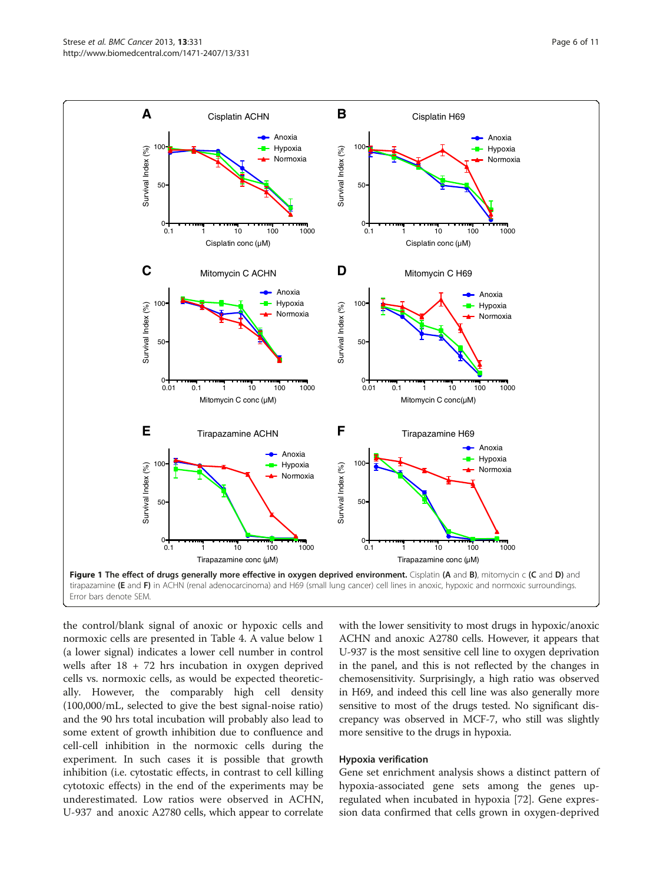<span id="page-5-0"></span>

the control/blank signal of anoxic or hypoxic cells and normoxic cells are presented in Table [4](#page-6-0). A value below 1 (a lower signal) indicates a lower cell number in control wells after  $18 + 72$  hrs incubation in oxygen deprived cells vs. normoxic cells, as would be expected theoretically. However, the comparably high cell density (100,000/mL, selected to give the best signal-noise ratio) and the 90 hrs total incubation will probably also lead to some extent of growth inhibition due to confluence and cell-cell inhibition in the normoxic cells during the experiment. In such cases it is possible that growth inhibition (i.e. cytostatic effects, in contrast to cell killing cytotoxic effects) in the end of the experiments may be underestimated. Low ratios were observed in ACHN, U-937 and anoxic A2780 cells, which appear to correlate with the lower sensitivity to most drugs in hypoxic/anoxic ACHN and anoxic A2780 cells. However, it appears that U-937 is the most sensitive cell line to oxygen deprivation in the panel, and this is not reflected by the changes in chemosensitivity. Surprisingly, a high ratio was observed in H69, and indeed this cell line was also generally more sensitive to most of the drugs tested. No significant discrepancy was observed in MCF-7, who still was slightly more sensitive to the drugs in hypoxia.

#### Hypoxia verification

Gene set enrichment analysis shows a distinct pattern of hypoxia-associated gene sets among the genes upregulated when incubated in hypoxia [[72\]](#page-10-0). Gene expression data confirmed that cells grown in oxygen-deprived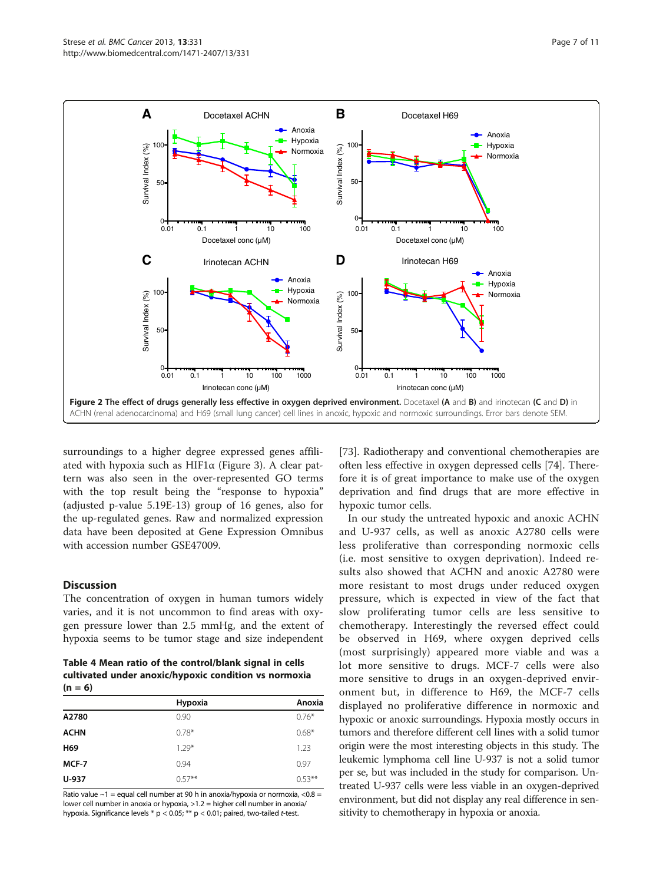<span id="page-6-0"></span>

surroundings to a higher degree expressed genes affiliated with hypoxia such as  $HIF1\alpha$  (Figure [3](#page-7-0)). A clear pattern was also seen in the over-represented GO terms with the top result being the "response to hypoxia" (adjusted p-value 5.19E-13) group of 16 genes, also for the up-regulated genes. Raw and normalized expression data have been deposited at Gene Expression Omnibus with accession number GSE47009.

#### **Discussion**

The concentration of oxygen in human tumors widely varies, and it is not uncommon to find areas with oxygen pressure lower than 2.5 mmHg, and the extent of hypoxia seems to be tumor stage and size independent

Table 4 Mean ratio of the control/blank signal in cells cultivated under anoxic/hypoxic condition vs normoxia  $(n = 6)$ 

| Hypoxia   | Anoxia    |
|-----------|-----------|
| 0.90      | $0.76*$   |
| $0.78*$   | $0.68*$   |
| $1.29*$   | 1.23      |
| 0.94      | 0.97      |
| $0.57***$ | $0.53***$ |
|           |           |

Ratio value  $\sim$ 1 = equal cell number at 90 h in anoxia/hypoxia or normoxia, <0.8 = lower cell number in anoxia or hypoxia, >1.2 = higher cell number in anoxia/ hypoxia. Significance levels \* p < 0.05; \*\* p < 0.01; paired, two-tailed t-test.

[[73\]](#page-10-0). Radiotherapy and conventional chemotherapies are often less effective in oxygen depressed cells [[74](#page-10-0)]. Therefore it is of great importance to make use of the oxygen deprivation and find drugs that are more effective in hypoxic tumor cells.

In our study the untreated hypoxic and anoxic ACHN and U-937 cells, as well as anoxic A2780 cells were less proliferative than corresponding normoxic cells (i.e. most sensitive to oxygen deprivation). Indeed results also showed that ACHN and anoxic A2780 were more resistant to most drugs under reduced oxygen pressure, which is expected in view of the fact that slow proliferating tumor cells are less sensitive to chemotherapy. Interestingly the reversed effect could be observed in H69, where oxygen deprived cells (most surprisingly) appeared more viable and was a lot more sensitive to drugs. MCF-7 cells were also more sensitive to drugs in an oxygen-deprived environment but, in difference to H69, the MCF-7 cells displayed no proliferative difference in normoxic and hypoxic or anoxic surroundings. Hypoxia mostly occurs in tumors and therefore different cell lines with a solid tumor origin were the most interesting objects in this study. The leukemic lymphoma cell line U-937 is not a solid tumor per se, but was included in the study for comparison. Untreated U-937 cells were less viable in an oxygen-deprived environment, but did not display any real difference in sensitivity to chemotherapy in hypoxia or anoxia.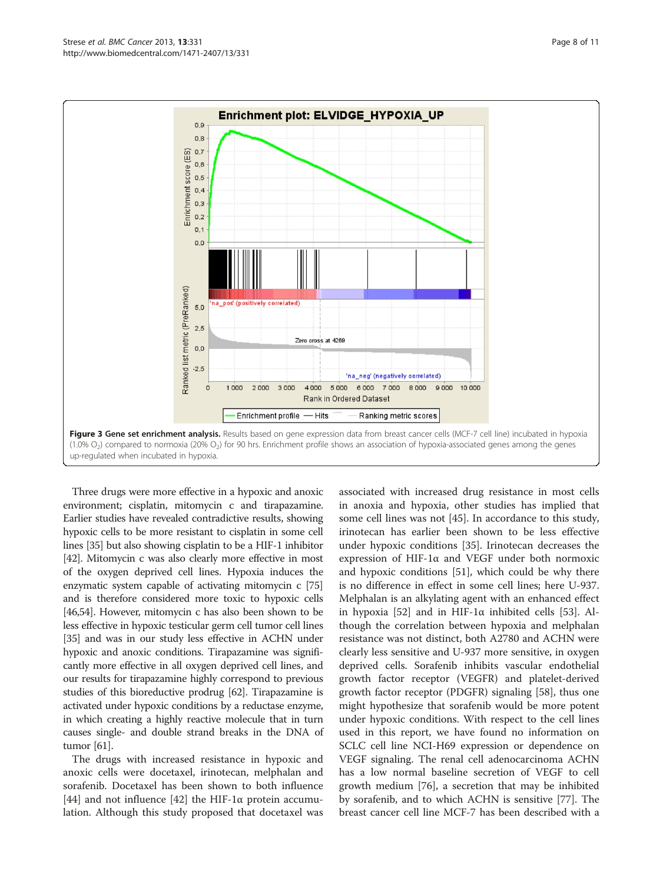<span id="page-7-0"></span>

Three drugs were more effective in a hypoxic and anoxic environment; cisplatin, mitomycin c and tirapazamine. Earlier studies have revealed contradictive results, showing hypoxic cells to be more resistant to cisplatin in some cell lines [\[35\]](#page-9-0) but also showing cisplatin to be a HIF-1 inhibitor [[42](#page-9-0)]. Mitomycin c was also clearly more effective in most of the oxygen deprived cell lines. Hypoxia induces the enzymatic system capable of activating mitomycin c [[75](#page-10-0)] and is therefore considered more toxic to hypoxic cells [[46,54\]](#page-9-0). However, mitomycin c has also been shown to be less effective in hypoxic testicular germ cell tumor cell lines [[35](#page-9-0)] and was in our study less effective in ACHN under hypoxic and anoxic conditions. Tirapazamine was significantly more effective in all oxygen deprived cell lines, and our results for tirapazamine highly correspond to previous studies of this bioreductive prodrug [\[62](#page-10-0)]. Tirapazamine is activated under hypoxic conditions by a reductase enzyme, in which creating a highly reactive molecule that in turn causes single- and double strand breaks in the DNA of tumor [\[61\]](#page-10-0).

The drugs with increased resistance in hypoxic and anoxic cells were docetaxel, irinotecan, melphalan and sorafenib. Docetaxel has been shown to both influence [[44\]](#page-9-0) and not influence [[42\]](#page-9-0) the HIF-1 $\alpha$  protein accumulation. Although this study proposed that docetaxel was

associated with increased drug resistance in most cells in anoxia and hypoxia, other studies has implied that some cell lines was not [\[45](#page-9-0)]. In accordance to this study, irinotecan has earlier been shown to be less effective under hypoxic conditions [\[35](#page-9-0)]. Irinotecan decreases the expression of HIF-1α and VEGF under both normoxic and hypoxic conditions [\[51](#page-9-0)], which could be why there is no difference in effect in some cell lines; here U-937. Melphalan is an alkylating agent with an enhanced effect in hypoxia [\[52](#page-9-0)] and in HIF-1 $\alpha$  inhibited cells [[53\]](#page-9-0). Although the correlation between hypoxia and melphalan resistance was not distinct, both A2780 and ACHN were clearly less sensitive and U-937 more sensitive, in oxygen deprived cells. Sorafenib inhibits vascular endothelial growth factor receptor (VEGFR) and platelet-derived growth factor receptor (PDGFR) signaling [\[58](#page-10-0)], thus one might hypothesize that sorafenib would be more potent under hypoxic conditions. With respect to the cell lines used in this report, we have found no information on SCLC cell line NCI-H69 expression or dependence on VEGF signaling. The renal cell adenocarcinoma ACHN has a low normal baseline secretion of VEGF to cell growth medium [[76\]](#page-10-0), a secretion that may be inhibited by sorafenib, and to which ACHN is sensitive [[77](#page-10-0)]. The breast cancer cell line MCF-7 has been described with a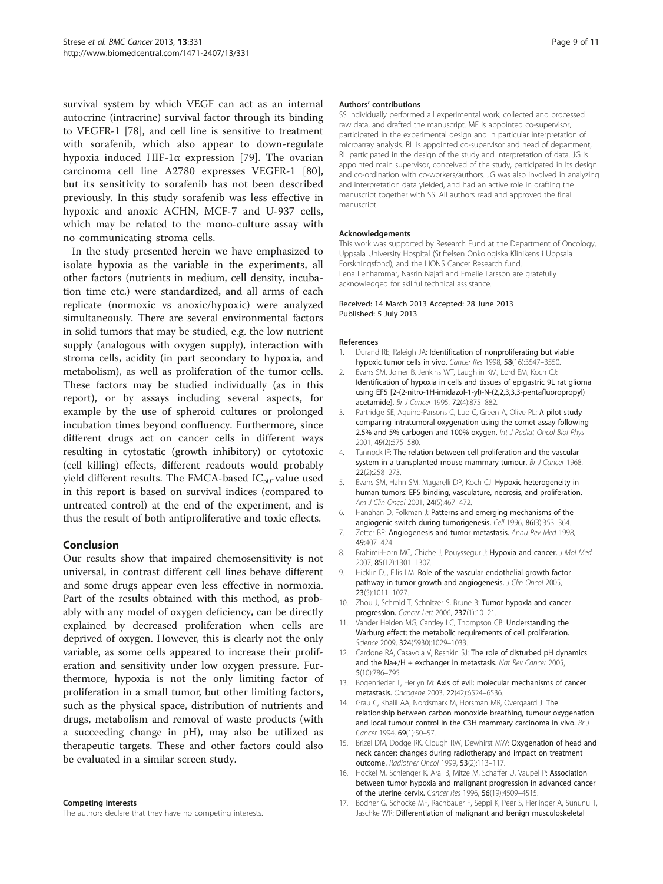<span id="page-8-0"></span>survival system by which VEGF can act as an internal autocrine (intracrine) survival factor through its binding to VEGFR-1 [[78\]](#page-10-0), and cell line is sensitive to treatment with sorafenib, which also appear to down-regulate hypoxia induced HIF-1α expression [[79\]](#page-10-0). The ovarian carcinoma cell line A2780 expresses VEGFR-1 [\[80](#page-10-0)], but its sensitivity to sorafenib has not been described previously. In this study sorafenib was less effective in hypoxic and anoxic ACHN, MCF-7 and U-937 cells, which may be related to the mono-culture assay with no communicating stroma cells.

In the study presented herein we have emphasized to isolate hypoxia as the variable in the experiments, all other factors (nutrients in medium, cell density, incubation time etc.) were standardized, and all arms of each replicate (normoxic vs anoxic/hypoxic) were analyzed simultaneously. There are several environmental factors in solid tumors that may be studied, e.g. the low nutrient supply (analogous with oxygen supply), interaction with stroma cells, acidity (in part secondary to hypoxia, and metabolism), as well as proliferation of the tumor cells. These factors may be studied individually (as in this report), or by assays including several aspects, for example by the use of spheroid cultures or prolonged incubation times beyond confluency. Furthermore, since different drugs act on cancer cells in different ways resulting in cytostatic (growth inhibitory) or cytotoxic (cell killing) effects, different readouts would probably yield different results. The FMCA-based  $IC_{50}$ -value used in this report is based on survival indices (compared to untreated control) at the end of the experiment, and is thus the result of both antiproliferative and toxic effects.

#### Conclusion

Our results show that impaired chemosensitivity is not universal, in contrast different cell lines behave different and some drugs appear even less effective in normoxia. Part of the results obtained with this method, as probably with any model of oxygen deficiency, can be directly explained by decreased proliferation when cells are deprived of oxygen. However, this is clearly not the only variable, as some cells appeared to increase their proliferation and sensitivity under low oxygen pressure. Furthermore, hypoxia is not the only limiting factor of proliferation in a small tumor, but other limiting factors, such as the physical space, distribution of nutrients and drugs, metabolism and removal of waste products (with a succeeding change in pH), may also be utilized as therapeutic targets. These and other factors could also be evaluated in a similar screen study.

#### Competing interests

The authors declare that they have no competing interests.

#### Authors' contributions

SS individually performed all experimental work, collected and processed raw data, and drafted the manuscript. MF is appointed co-supervisor, participated in the experimental design and in particular interpretation of microarray analysis. RL is appointed co-supervisor and head of department, RL participated in the design of the study and interpretation of data. JG is appointed main supervisor, conceived of the study, participated in its design and co-ordination with co-workers/authors. JG was also involved in analyzing and interpretation data yielded, and had an active role in drafting the manuscript together with SS. All authors read and approved the final manuscript.

#### Acknowledgements

This work was supported by Research Fund at the Department of Oncology, Uppsala University Hospital (Stiftelsen Onkologiska Klinikens i Uppsala Forskningsfond), and the LIONS Cancer Research fund. Lena Lenhammar, Nasrin Najafi and Emelie Larsson are gratefully acknowledged for skillful technical assistance.

#### Received: 14 March 2013 Accepted: 28 June 2013 Published: 5 July 2013

#### References

- Durand RE, Raleigh JA: Identification of nonproliferating but viable hypoxic tumor cells in vivo. Cancer Res 1998, 58(16):3547–3550.
- 2. Evans SM, Joiner B, Jenkins WT, Laughlin KM, Lord EM, Koch CJ: Identification of hypoxia in cells and tissues of epigastric 9L rat glioma using EF5 [2-(2-nitro-1H-imidazol-1-yl)-N-(2,2,3,3,3-pentafluoropropyl) acetamide]. Br J Cancer 1995, 72(4):875–882.
- 3. Partridge SE, Aquino-Parsons C, Luo C, Green A, Olive PL: A pilot study comparing intratumoral oxygenation using the comet assay following 2.5% and 5% carbogen and 100% oxygen. Int J Radiat Oncol Biol Phys 2001, 49(2):575–580.
- 4. Tannock IF: The relation between cell proliferation and the vascular system in a transplanted mouse mammary tumour. Br J Cancer 1968, 22(2):258–273.
- 5. Evans SM, Hahn SM, Magarelli DP, Koch CJ: Hypoxic heterogeneity in human tumors: EF5 binding, vasculature, necrosis, and proliferation. Am J Clin Oncol 2001, 24(5):467–472.
- Hanahan D, Folkman J: Patterns and emerging mechanisms of the angiogenic switch during tumorigenesis. Cell 1996, 86(3):353–364.
- 7. Zetter BR: Angiogenesis and tumor metastasis. Annu Rev Med 1998, 49:407–424.
- 8. Brahimi-Horn MC, Chiche J, Pouyssegur J: Hypoxia and cancer. J Mol Med 2007, 85(12):1301–1307.
- 9. Hicklin DJ, Filis LM: Role of the vascular endothelial growth factor pathway in tumor growth and angiogenesis. J Clin Oncol 2005, 23(5):1011–1027.
- 10. Zhou J, Schmid T, Schnitzer S, Brune B: Tumor hypoxia and cancer progression. Cancer Lett 2006, 237(1):10–21.
- 11. Vander Heiden MG, Cantley LC, Thompson CB: Understanding the Warburg effect: the metabolic requirements of cell proliferation. Science 2009, 324(5930):1029–1033.
- 12. Cardone RA, Casavola V, Reshkin SJ: The role of disturbed pH dynamics and the Na+/H + exchanger in metastasis. Nat Rev Cancer 2005, 5(10):786–795.
- 13. Bogenrieder T, Herlyn M: Axis of evil: molecular mechanisms of cancer metastasis. Oncogene 2003, 22(42):6524–6536.
- 14. Grau C, Khalil AA, Nordsmark M, Horsman MR, Overgaard J: The relationship between carbon monoxide breathing, tumour oxygenation and local tumour control in the C3H mammary carcinoma in vivo. Br J Cancer 1994, 69(1):50–57.
- 15. Brizel DM, Dodge RK, Clough RW, Dewhirst MW: Oxygenation of head and neck cancer: changes during radiotherapy and impact on treatment outcome. Radiother Oncol 1999, 53(2):113–117.
- 16. Hockel M, Schlenger K, Aral B, Mitze M, Schaffer U, Vaupel P: Association between tumor hypoxia and malignant progression in advanced cancer of the uterine cervix. Cancer Res 1996, 56(19):4509–4515.
- 17. Bodner G, Schocke MF, Rachbauer F, Seppi K, Peer S, Fierlinger A, Sununu T, Jaschke WR: Differentiation of malignant and benign musculoskeletal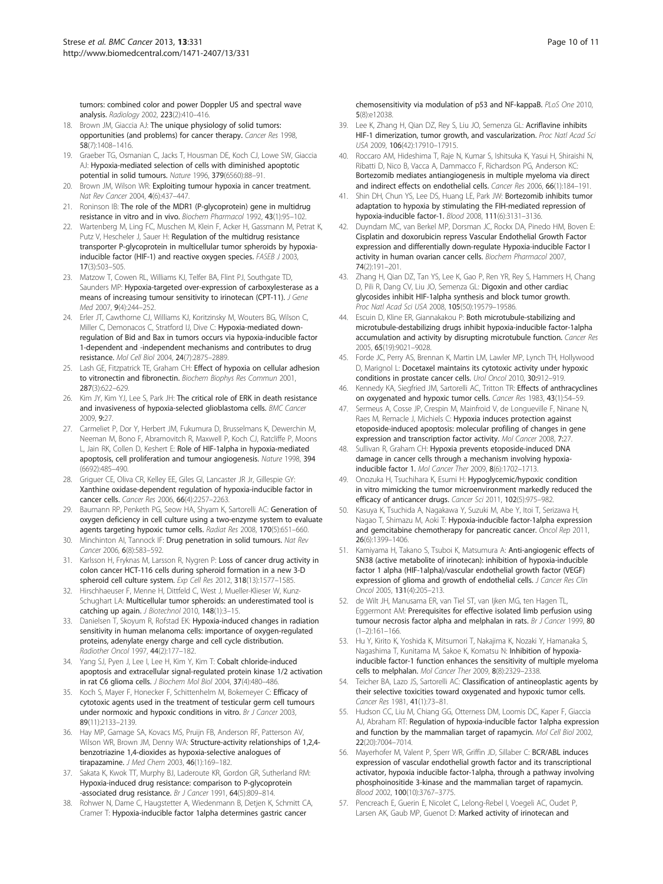<span id="page-9-0"></span>tumors: combined color and power Doppler US and spectral wave analysis. Radiology 2002, 223(2):410–416.

- 18. Brown JM, Giaccia AJ: The unique physiology of solid tumors: opportunities (and problems) for cancer therapy. Cancer Res 1998, 58(7):1408–1416.
- 19. Graeber TG, Osmanian C, Jacks T, Housman DE, Koch CJ, Lowe SW, Giaccia AJ: Hypoxia-mediated selection of cells with diminished apoptotic potential in solid tumours. Nature 1996, 379(6560):88–91.
- 20. Brown JM, Wilson WR: Exploiting tumour hypoxia in cancer treatment. Nat Rev Cancer 2004, 4(6):437–447.
- 21. Roninson IB: The role of the MDR1 (P-glycoprotein) gene in multidrug resistance in vitro and in vivo. Biochem Pharmacol 1992, 43(1):95–102.
- 22. Wartenberg M, Ling FC, Muschen M, Klein F, Acker H, Gassmann M, Petrat K, Putz V, Hescheler J, Sauer H: Regulation of the multidrug resistance transporter P-glycoprotein in multicellular tumor spheroids by hypoxiainducible factor (HIF-1) and reactive oxygen species. FASEB J 2003, 17(3):503–505.
- 23. Matzow T, Cowen RL, Williams KJ, Telfer BA, Flint PJ, Southgate TD, Saunders MP: Hypoxia-targeted over-expression of carboxylesterase as a means of increasing tumour sensitivity to irinotecan (CPT-11). J Gene Med 2007, 9(4):244–252.
- 24. Erler JT, Cawthorne CJ, Williams KJ, Koritzinsky M, Wouters BG, Wilson C, Miller C, Demonacos C, Stratford IJ, Dive C: Hypoxia-mediated downregulation of Bid and Bax in tumors occurs via hypoxia-inducible factor 1-dependent and -independent mechanisms and contributes to drug resistance. Mol Cell Biol 2004, 24(7):2875–2889.
- 25. Lash GE, Fitzpatrick TE, Graham CH: Effect of hypoxia on cellular adhesion to vitronectin and fibronectin. Biochem Biophys Res Commun 2001, 287(3):622–629.
- 26. Kim JY, Kim YJ, Lee S, Park JH: The critical role of ERK in death resistance and invasiveness of hypoxia-selected glioblastoma cells. BMC Cancer 2009, 9:27.
- 27. Carmeliet P, Dor Y, Herbert JM, Fukumura D, Brusselmans K, Dewerchin M, Neeman M, Bono F, Abramovitch R, Maxwell P, Koch CJ, Ratcliffe P, Moons L, Jain RK, Collen D, Keshert E: Role of HIF-1alpha in hypoxia-mediated apoptosis, cell proliferation and tumour angiogenesis. Nature 1998, 394 (6692):485–490.
- 28. Griguer CE, Oliva CR, Kelley EE, Giles GI, Lancaster JR Jr, Gillespie GY: Xanthine oxidase-dependent regulation of hypoxia-inducible factor in cancer cells. Cancer Res 2006, 66(4):2257–2263.
- 29. Baumann RP, Penketh PG, Seow HA, Shyam K, Sartorelli AC: Generation of oxygen deficiency in cell culture using a two-enzyme system to evaluate agents targeting hypoxic tumor cells. Radiat Res 2008, 170(5):651–660.
- 30. Minchinton AI, Tannock IF: Drug penetration in solid tumours. Nat Rev Cancer 2006, 6(8):583–592.
- 31. Karlsson H, Fryknas M, Larsson R, Nygren P: Loss of cancer drug activity in colon cancer HCT-116 cells during spheroid formation in a new 3-D spheroid cell culture system. Exp Cell Res 2012, 318(13):1577–1585.
- 32. Hirschhaeuser F, Menne H, Dittfeld C, West J, Mueller-Klieser W, Kunz-Schughart LA: Multicellular tumor spheroids: an underestimated tool is catching up again. J Biotechnol 2010, 148(1):3-15.
- 33. Danielsen T, Skoyum R, Rofstad EK: Hypoxia-induced changes in radiation sensitivity in human melanoma cells: importance of oxygen-regulated proteins, adenylate energy charge and cell cycle distribution. Radiother Oncol 1997, 44(2):177–182.
- 34. Yang SJ, Pyen J, Lee I, Lee H, Kim Y, Kim T: Cobalt chloride-induced apoptosis and extracellular signal-regulated protein kinase 1/2 activation in rat C6 glioma cells. J Biochem Mol Biol 2004, 37(4):480–486.
- 35. Koch S, Mayer F, Honecker F, Schittenhelm M, Bokemeyer C: Efficacy of cytotoxic agents used in the treatment of testicular germ cell tumours under normoxic and hypoxic conditions in vitro. Br J Cancer 2003, 89(11):2133–2139.
- 36. Hay MP, Gamage SA, Kovacs MS, Pruijn FB, Anderson RF, Patterson AV, Wilson WR, Brown JM, Denny WA: Structure-activity relationships of 1,2,4benzotriazine 1,4-dioxides as hypoxia-selective analogues of tirapazamine. J Med Chem 2003, 46(1):169–182.
- 37. Sakata K, Kwok TT, Murphy BJ, Laderoute KR, Gordon GR, Sutherland RM: Hypoxia-induced drug resistance: comparison to P-glycoprotein -associated drug resistance. Br J Cancer 1991, 64(5):809–814.
- 38. Rohwer N, Dame C, Haugstetter A, Wiedenmann B, Detjen K, Schmitt CA, Cramer T: Hypoxia-inducible factor 1alpha determines gastric cancer

chemosensitivity via modulation of p53 and NF-kappaB. PLoS One 2010, 5(8):e12038.

- 39. Lee K, Zhang H, Qian DZ, Rey S, Liu JO, Semenza GL: Acriflavine inhibits HIF-1 dimerization, tumor growth, and vascularization. Proc Natl Acad Sci USA 2009, 106(42):17910–17915.
- 40. Roccaro AM, Hideshima T, Raje N, Kumar S, Ishitsuka K, Yasui H, Shiraishi N, Ribatti D, Nico B, Vacca A, Dammacco F, Richardson PG, Anderson KC: Bortezomib mediates antiangiogenesis in multiple myeloma via direct and indirect effects on endothelial cells. Cancer Res 2006, 66(1):184–191.
- 41. Shin DH, Chun YS, Lee DS, Huang LE, Park JW: Bortezomib inhibits tumor adaptation to hypoxia by stimulating the FIH-mediated repression of hypoxia-inducible factor-1. Blood 2008, 111(6):3131–3136.
- 42. Duyndam MC, van Berkel MP, Dorsman JC, Rockx DA, Pinedo HM, Boven E: Cisplatin and doxorubicin repress Vascular Endothelial Growth Factor expression and differentially down-regulate Hypoxia-inducible Factor I activity in human ovarian cancer cells. Biochem Pharmacol 2007, 74(2):191–201.
- 43. Zhang H, Qian DZ, Tan YS, Lee K, Gao P, Ren YR, Rey S, Hammers H, Chang D, Pili R, Dang CV, Liu JO, Semenza GL: Digoxin and other cardiac glycosides inhibit HIF-1alpha synthesis and block tumor growth. Proc Natl Acad Sci USA 2008, 105(50):19579–19586.
- 44. Escuin D, Kline ER, Giannakakou P: Both microtubule-stabilizing and microtubule-destabilizing drugs inhibit hypoxia-inducible factor-1alpha accumulation and activity by disrupting microtubule function. Cancer Res 2005, 65(19):9021–9028.
- 45. Forde JC, Perry AS, Brennan K, Martin LM, Lawler MP, Lynch TH, Hollywood D, Marignol L: Docetaxel maintains its cytotoxic activity under hypoxic conditions in prostate cancer cells. Urol Oncol 2010, 30:912–919.
- 46. Kennedy KA, Siegfried JM, Sartorelli AC, Tritton TR: Effects of anthracyclines on oxygenated and hypoxic tumor cells. Cancer Res 1983, 43(1):54–59.
- 47. Sermeus A, Cosse JP, Crespin M, Mainfroid V, de Longueville F, Ninane N, Raes M, Remacle J, Michiels C: Hypoxia induces protection against etoposide-induced apoptosis: molecular profiling of changes in gene expression and transcription factor activity. Mol Cancer 2008, 7:27.
- 48. Sullivan R, Graham CH: Hypoxia prevents etoposide-induced DNA damage in cancer cells through a mechanism involving hypoxiainducible factor 1. Mol Cancer Ther 2009, 8(6):1702–1713.
- 49. Onozuka H, Tsuchihara K, Esumi H: Hypoglycemic/hypoxic condition in vitro mimicking the tumor microenvironment markedly reduced the efficacy of anticancer drugs. Cancer Sci 2011, 102(5):975–982.
- 50. Kasuya K, Tsuchida A, Nagakawa Y, Suzuki M, Abe Y, Itoi T, Serizawa H, Nagao T, Shimazu M, Aoki T: Hypoxia-inducible factor-1alpha expression and gemcitabine chemotherapy for pancreatic cancer. Oncol Rep 2011, 26(6):1399–1406.
- 51. Kamiyama H, Takano S, Tsuboi K, Matsumura A: Anti-angiogenic effects of SN38 (active metabolite of irinotecan): inhibition of hypoxia-inducible factor 1 alpha (HIF-1alpha)/vascular endothelial growth factor (VEGF) expression of glioma and growth of endothelial cells. J Cancer Res Clin Oncol 2005, 131(4):205–213.
- 52. de Wilt JH, Manusama ER, van Tiel ST, van Ijken MG, ten Hagen TL, Eggermont AM: Prerequisites for effective isolated limb perfusion using tumour necrosis factor alpha and melphalan in rats. Br J Cancer 1999, 80 (1–2):161–166.
- 53. Hu Y, Kirito K, Yoshida K, Mitsumori T, Nakajima K, Nozaki Y, Hamanaka S, Nagashima T, Kunitama M, Sakoe K, Komatsu N: Inhibition of hypoxiainducible factor-1 function enhances the sensitivity of multiple myeloma cells to melphalan. Mol Cancer Ther 2009, 8(8):2329–2338.
- 54. Teicher BA, Lazo JS, Sartorelli AC: Classification of antineoplastic agents by their selective toxicities toward oxygenated and hypoxic tumor cells. Cancer Res 1981, 41(1):73–81.
- 55. Hudson CC, Liu M, Chiang GG, Otterness DM, Loomis DC, Kaper F, Giaccia AJ, Abraham RT: Regulation of hypoxia-inducible factor 1alpha expression and function by the mammalian target of rapamycin. Mol Cell Biol 2002, 22(20):7004–7014.
- 56. Mayerhofer M, Valent P, Sperr WR, Griffin JD, Sillaber C: BCR/ABL induces expression of vascular endothelial growth factor and its transcriptional activator, hypoxia inducible factor-1alpha, through a pathway involving phosphoinositide 3-kinase and the mammalian target of rapamycin. Blood 2002, 100(10):3767–3775.
- 57. Pencreach E, Guerin E, Nicolet C, Lelong-Rebel I, Voegeli AC, Oudet P, Larsen AK, Gaub MP, Guenot D: Marked activity of irinotecan and